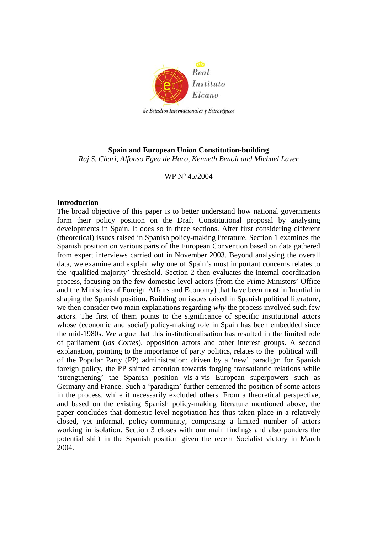

## **Spain and European Union Constitution-building**  *Raj S. Chari, Alfonso Egea de Haro, Kenneth Benoit and Michael Laver*

### WP Nº 45/2004

## **Introduction**

The broad objective of this paper is to better understand how national governments form their policy position on the Draft Constitutional proposal by analysing developments in Spain. It does so in three sections. After first considering different (theoretical) issues raised in Spanish policy-making literature, Section 1 examines the Spanish position on various parts of the European Convention based on data gathered from expert interviews carried out in November 2003. Beyond analysing the overall data, we examine and explain why one of Spain's most important concerns relates to the 'qualified majority' threshold. Section 2 then evaluates the internal coordination process, focusing on the few domestic-level actors (from the Prime Ministers' Office and the Ministries of Foreign Affairs and Economy) that have been most influential in shaping the Spanish position. Building on issues raised in Spanish political literature, we then consider two main explanations regarding *why* the process involved such few actors. The first of them points to the significance of specific institutional actors whose (economic and social) policy-making role in Spain has been embedded since the mid-1980s. We argue that this institutionalisation has resulted in the limited role of parliament (*las Cortes*), opposition actors and other interest groups. A second explanation, pointing to the importance of party politics, relates to the 'political will' of the Popular Party (PP) administration: driven by a 'new' paradigm for Spanish foreign policy, the PP shifted attention towards forging transatlantic relations while 'strengthening' the Spanish position vis-à-vis European superpowers such as Germany and France. Such a 'paradigm' further cemented the position of some actors in the process, while it necessarily excluded others. From a theoretical perspective, and based on the existing Spanish policy-making literature mentioned above, the paper concludes that domestic level negotiation has thus taken place in a relatively closed, yet informal, policy-community, comprising a limited number of actors working in isolation. Section 3 closes with our main findings and also ponders the potential shift in the Spanish position given the recent Socialist victory in March 2004.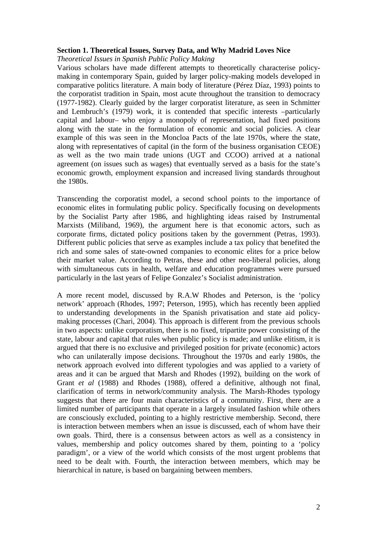### **Section 1. Theoretical Issues, Survey Data, and Why Madrid Loves Nice**

*Theoretical Issues in Spanish Public Policy Making* 

Various scholars have made different attempts to theoretically characterise policymaking in contemporary Spain, guided by larger policy-making models developed in comparative politics literature. A main body of literature (Pérez Díaz, 1993) points to the corporatist tradition in Spain, most acute throughout the transition to democracy (1977-1982). Clearly guided by the larger corporatist literature, as seen in Schmitter and Lembruch's (1979) work, it is contended that specific interests –particularly capital and labour– who enjoy a monopoly of representation, had fixed positions along with the state in the formulation of economic and social policies. A clear example of this was seen in the Moncloa Pacts of the late 1970s, where the state, along with representatives of capital (in the form of the business organisation CEOE) as well as the two main trade unions (UGT and CCOO) arrived at a national agreement (on issues such as wages) that eventually served as a basis for the state's economic growth, employment expansion and increased living standards throughout the 1980s.

Transcending the corporatist model, a second school points to the importance of economic elites in formulating public policy. Specifically focusing on developments by the Socialist Party after 1986, and highlighting ideas raised by Instrumental Marxists (Miliband, 1969), the argument here is that economic actors, such as corporate firms, dictated policy positions taken by the government (Petras, 1993). Different public policies that serve as examples include a tax policy that benefited the rich and some sales of state-owned companies to economic elites for a price below their market value. According to Petras, these and other neo-liberal policies, along with simultaneous cuts in health, welfare and education programmes were pursued particularly in the last years of Felipe Gonzalez's Socialist administration.

A more recent model, discussed by R.A.W Rhodes and Peterson, is the 'policy network' approach (Rhodes, 1997; Peterson, 1995), which has recently been applied to understanding developments in the Spanish privatisation and state aid policymaking processes (Chari, 2004). This approach is different from the previous schools in two aspects: unlike corporatism, there is no fixed, tripartite power consisting of the state, labour and capital that rules when public policy is made; and unlike elitism, it is argued that there is no exclusive and privileged position for private (economic) actors who can unilaterally impose decisions. Throughout the 1970s and early 1980s, the network approach evolved into different typologies and was applied to a variety of areas and it can be argued that Marsh and Rhodes (1992), building on the work of Grant *et al* (1988) and Rhodes (1988), offered a definitive, although not final, clarification of terms in network/community analysis. The Marsh-Rhodes typology suggests that there are four main characteristics of a community. First, there are a limited number of participants that operate in a largely insulated fashion while others are consciously excluded, pointing to a highly restrictive membership. Second, there is interaction between members when an issue is discussed, each of whom have their own goals. Third, there is a consensus between actors as well as a consistency in values, membership and policy outcomes shared by them, pointing to a 'policy paradigm', or a view of the world which consists of the most urgent problems that need to be dealt with. Fourth, the interaction between members, which may be hierarchical in nature, is based on bargaining between members.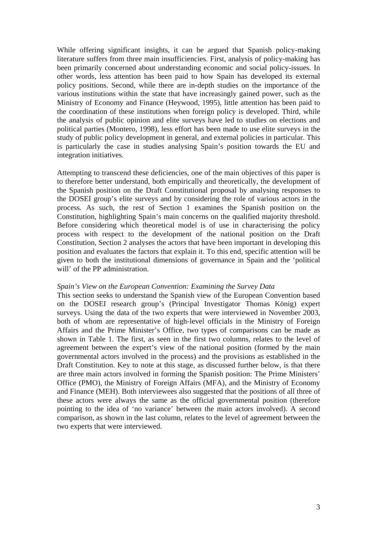While offering significant insights, it can be argued that Spanish policy-making literature suffers from three main insufficiencies. First, analysis of policy-making has been primarily concerned about understanding economic and social policy-issues. In other words, less attention has been paid to how Spain has developed its external policy positions. Second, while there are in-depth studies on the importance of the various institutions within the state that have increasingly gained power, such as the Ministry of Economy and Finance (Heywood, 1995), little attention has been paid to the coordination of these institutions when foreign policy is developed. Third, while the analysis of public opinion and elite surveys have led to studies on elections and political parties (Montero, 1998), less effort has been made to use elite surveys in the study of public policy development in general, and external policies in particular. This is particularly the case in studies analysing Spain's position towards the EU and integration initiatives.

Attempting to transcend these deficiencies, one of the main objectives of this paper is to therefore better understand, both empirically and theoretically, the development of the Spanish position on the Draft Constitutional proposal by analysing responses to the DOSEI group's elite surveys and by considering the role of various actors in the process. As such, the rest of Section 1 examines the Spanish position on the Constitution, highlighting Spain's main concerns on the qualified majority threshold. Before considering which theoretical model is of use in characterising the policy process with respect to the development of the national position on the Draft Constitution, Section 2 analyses the actors that have been important in developing this position and evaluates the factors that explain it. To this end, specific attention will be given to both the institutional dimensions of governance in Spain and the 'political will' of the PP administration.

### *Spain's View on the European Convention: Examining the Survey Data*

This section seeks to understand the Spanish view of the European Convention based on the DOSEI research group's (Principal Investigator Thomas König) expert surveys. Using the data of the two experts that were interviewed in November 2003, both of whom are representative of high-level officials in the Ministry of Foreign Affairs and the Prime Minister's Office, two types of comparisons can be made as shown in Table 1. The first, as seen in the first two columns, relates to the level of agreement between the expert's view of the national position (formed by the main governmental actors involved in the process) and the provisions as established in the Draft Constitution. Key to note at this stage, as discussed further below, is that there are three main actors involved in forming the Spanish position: The Prime Ministers' Office (PMO), the Ministry of Foreign Affairs (MFA), and the Ministry of Economy and Finance (MEH). Both interviewees also suggested that the positions of all three of these actors were always the same as the official governmental position (therefore pointing to the idea of 'no variance' between the main actors involved). A second comparison, as shown in the last column, relates to the level of agreement between the two experts that were interviewed.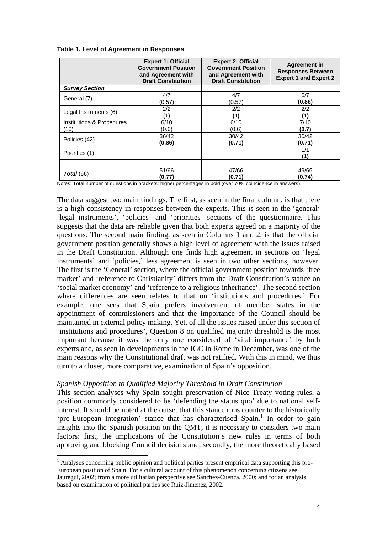|  |  | Table 1. Level of Agreement in Responses |
|--|--|------------------------------------------|
|  |  |                                          |

|                           | <b>Expert 1: Official</b><br><b>Government Position</b><br>and Agreement with<br><b>Draft Constitution</b> | <b>Expert 2: Official</b><br><b>Government Position</b><br>and Agreement with<br><b>Draft Constitution</b> | <b>Agreement in</b><br><b>Responses Between</b><br><b>Expert 1 and Expert 2</b> |
|---------------------------|------------------------------------------------------------------------------------------------------------|------------------------------------------------------------------------------------------------------------|---------------------------------------------------------------------------------|
| <b>Survey Section</b>     |                                                                                                            |                                                                                                            |                                                                                 |
| General (7)               | 4/7                                                                                                        | 4/7                                                                                                        | 6/7                                                                             |
|                           | (0.57)                                                                                                     | (0.57)                                                                                                     | (0.86)                                                                          |
| Legal Instruments (6)     | 2/2                                                                                                        | 2/2                                                                                                        | 2/2                                                                             |
|                           | (1)                                                                                                        | (1)                                                                                                        | (1)                                                                             |
| Institutions & Procedures | 6/10                                                                                                       | 6/10                                                                                                       | 7/10                                                                            |
| (10)                      | (0.6)                                                                                                      | (0.6)                                                                                                      | (0.7)                                                                           |
| Policies (42)             | 36/42                                                                                                      | 30/42                                                                                                      | 30/42                                                                           |
|                           | (0.86)                                                                                                     | (0.71)                                                                                                     | (0.71)                                                                          |
| Priorities (1)            |                                                                                                            |                                                                                                            | 1/1<br>(1)                                                                      |
|                           |                                                                                                            |                                                                                                            |                                                                                 |
| <b>Total</b> (66)         | 51/66                                                                                                      | 47/66                                                                                                      | 49/66                                                                           |
|                           | (0.77)                                                                                                     | (0.71)                                                                                                     | (0.74)                                                                          |

Notes: Total number of questions in brackets; higher percentages in bold (over 70% coincidence in answers).

The data suggest two main findings. The first, as seen in the final column, is that there is a high consistency in responses between the experts. This is seen in the 'general' 'legal instruments', 'policies' and 'priorities' sections of the questionnaire. This suggests that the data are reliable given that both experts agreed on a majority of the questions. The second main finding, as seen in Columns 1 and 2, is that the official government position generally shows a high level of agreement with the issues raised in the Draft Constitution. Although one finds high agreement in sections on 'legal instruments' and 'policies,' less agreement is seen in two other sections, however. The first is the 'General' section, where the official government position towards 'free market' and 'reference to Christianity' differs from the Draft Constitution's stance on 'social market economy' and 'reference to a religious inheritance'. The second section where differences are seen relates to that on 'institutions and procedures.' For example, one sees that Spain prefers involvement of member states in the appointment of commissioners and that the importance of the Council should be maintained in external policy making. Yet, of all the issues raised under this section of 'institutions and procedures', Question 8 on qualified majority threshold is the most important because it was the only one considered of 'vital importance' by both experts and, as seen in developments in the IGC in Rome in December, was one of the main reasons why the Constitutional draft was not ratified. With this in mind, we thus turn to a closer, more comparative, examination of Spain's opposition.

### *Spanish Opposition to Qualified Majority Threshold in Draft Constitution*

 $\overline{a}$ 

This section analyses why Spain sought preservation of Nice Treaty voting rules, a position commonly considered to be 'defending the status quo' due to national selfinterest. It should be noted at the outset that this stance runs counter to the historically 'pro-European integration' stance that has characterised Spain.<sup>1</sup> In order to gain insights into the Spanish position on the QMT, it is necessary to considers two main factors: first, the implications of the Constitution's new rules in terms of both approving and blocking Council decisions and, secondly, the more theoretically based

<sup>&</sup>lt;sup>1</sup> Analyses concerning public opinion and political parties present empirical data supporting this pro-European position of Spain. For a cultural account of this phenomenon concerning citizens see Jauregui, 2002; from a more utilitarian perspective see Sanchez-Cuenca, 2000; and for an analysis based on examination of political parties see Ruiz-Jimenez, 2002.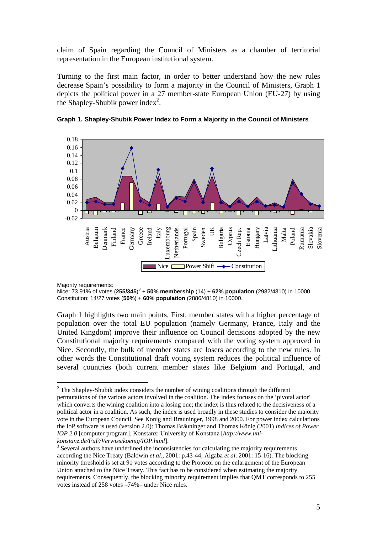claim of Spain regarding the Council of Ministers as a chamber of territorial representation in the European institutional system.

Turning to the first main factor, in order to better understand how the new rules decrease Spain's possibility to form a majority in the Council of Ministers, Graph 1 depicts the political power in a 27 member-state European Union (EU-27) by using the Shapley-Shubik power index<sup>2</sup>.





Majority requirements:

Nice: 73.91% of votes (**255/345**) 3 + **50% membership** (14) + **62% population** (2982/4810) in 10000. Constitution: 14/27 votes (**50%**) + **60% population** (2886/4810) in 10000.

Graph 1 highlights two main points. First, member states with a higher percentage of population over the total EU population (namely Germany, France, Italy and the United Kingdom) improve their influence on Council decisions adopted by the new Constitutional majority requirements compared with the voting system approved in Nice. Secondly, the bulk of member states are losers according to the new rules. In other words the Constitutional draft voting system reduces the political influence of several countries (both current member states like Belgium and Portugal, and

 $\overline{a}$  $2^2$  The Shapley-Shubik index considers the number of wining coalitions through the different permutations of the various actors involved in the coalition. The index focuses on the 'pivotal actor' which converts the wining coalition into a losing one; the index is thus related to the decisiveness of a political actor in a coalition. As such, the index is used broadly in these studies to consider the majority vote in the European Council. See Konig and Brauninger, 1998 and 2000. For power index calculations the IoP software is used (version 2.0): Thomas Bräuninger and Thomas König (2001) *Indices of Power IOP 2.0* [computer program]. Konstanz: University of Konstanz [*http://www.unikonstanz.de/FuF/Verwiss/koenig/IOP.html*]. 3

 $3$  Several authors have underlined the inconsistencies for calculating the majority requirements according the Nice Treaty (Baldwin *et al*., 2001: p.43-44; Algaba *et al*. 2001: 15-16). The blocking minority threshold is set at 91 votes according to the Protocol on the enlargement of the European Union attached to the Nice Treaty. This fact has to be considered when estimating the majority requirements. Consequently, the blocking minority requirement implies that QMT corresponds to 255 votes instead of 258 votes –74%– under Nice rules.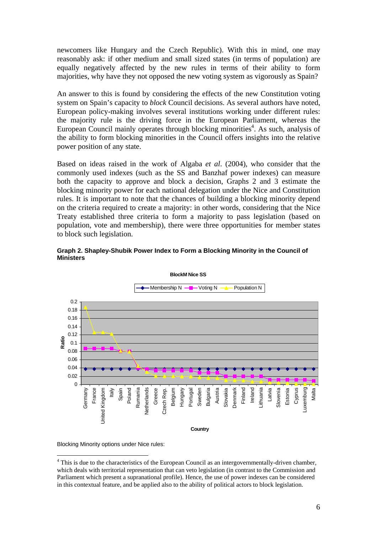newcomers like Hungary and the Czech Republic). With this in mind, one may reasonably ask: if other medium and small sized states (in terms of population) are equally negatively affected by the new rules in terms of their ability to form majorities, why have they not opposed the new voting system as vigorously as Spain?

An answer to this is found by considering the effects of the new Constitution voting system on Spain's capacity to *block* Council decisions. As several authors have noted, European policy-making involves several institutions working under different rules: the majority rule is the driving force in the European Parliament, whereas the European Council mainly operates through blocking minorities<sup>4</sup>. As such, analysis of the ability to form blocking minorities in the Council offers insights into the relative power position of any state.

Based on ideas raised in the work of Algaba *et al*. (2004), who consider that the commonly used indexes (such as the SS and Banzhaf power indexes) can measure both the capacity to approve and block a decision, Graphs 2 and 3 estimate the blocking minority power for each national delegation under the Nice and Constitution rules. It is important to note that the chances of building a blocking minority depend on the criteria required to create a majority: in other words, considering that the Nice Treaty established three criteria to form a majority to pass legislation (based on population, vote and membership), there were three opportunities for member states to block such legislation.



**Graph 2. Shapley-Shubik Power Index to Form a Blocking Minority in the Council of Ministers** 

Blocking Minority options under Nice rules:

 $\overline{a}$ 

<sup>&</sup>lt;sup>4</sup> This is due to the characteristics of the European Council as an intergovernmentally-driven chamber, which deals with territorial representation that can veto legislation (in contrast to the Commission and Parliament which present a supranational profile). Hence, the use of power indexes can be considered in this contextual feature, and be applied also to the ability of political actors to block legislation.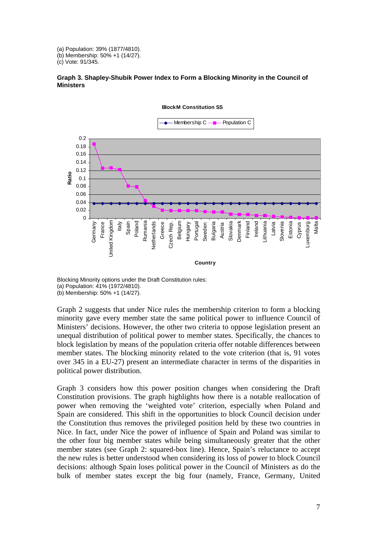(a) Population: 39% (1877/4810). (b) Membership: 50% +1 (14/27).

(c) Vote: 91/345.





**BlockM Constitution SS**

Blocking Minority options under the Draft Constitution rules: (a) Population: 41% (1972/4810). (b) Membership: 50% +1 (14/27).

Graph 2 suggests that under Nice rules the membership criterion to form a blocking minority gave every member state the same political power to influence Council of Ministers' decisions. However, the other two criteria to oppose legislation present an unequal distribution of political power to member states. Specifically, the chances to block legislation by means of the population criteria offer notable differences between member states. The blocking minority related to the vote criterion (that is, 91 votes over 345 in a EU-27) present an intermediate character in terms of the disparities in political power distribution.

Graph 3 considers how this power position changes when considering the Draft Constitution provisions. The graph highlights how there is a notable reallocation of power when removing the 'weighted vote' criterion, especially when Poland and Spain are considered. This shift in the opportunities to block Council decision under the Constitution thus removes the privileged position held by these two countries in Nice. In fact, under Nice the power of influence of Spain and Poland was similar to the other four big member states while being simultaneously greater that the other member states (see Graph 2: squared-box line). Hence, Spain's reluctance to accept the new rules is better understood when considering its loss of power to block Council decisions: although Spain loses political power in the Council of Ministers as do the bulk of member states except the big four (namely, France, Germany, United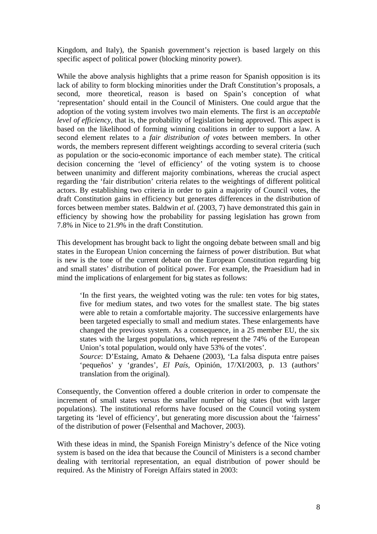Kingdom, and Italy), the Spanish government's rejection is based largely on this specific aspect of political power (blocking minority power).

While the above analysis highlights that a prime reason for Spanish opposition is its lack of ability to form blocking minorities under the Draft Constitution's proposals, a second, more theoretical, reason is based on Spain's conception of what 'representation' should entail in the Council of Ministers. One could argue that the adoption of the voting system involves two main elements. The first is an *acceptable level of efficiency*, that is, the probability of legislation being approved. This aspect is based on the likelihood of forming winning coalitions in order to support a law. A second element relates to a *fair distribution of votes* between members. In other words, the members represent different weightings according to several criteria (such as population or the socio-economic importance of each member state). The critical decision concerning the 'level of efficiency' of the voting system is to choose between unanimity and different majority combinations, whereas the crucial aspect regarding the 'fair distribution' criteria relates to the weightings of different political actors. By establishing two criteria in order to gain a majority of Council votes, the draft Constitution gains in efficiency but generates differences in the distribution of forces between member states. Baldwin *et al.* (2003, 7) have demonstrated this gain in efficiency by showing how the probability for passing legislation has grown from 7.8% in Nice to 21.9% in the draft Constitution.

This development has brought back to light the ongoing debate between small and big states in the European Union concerning the fairness of power distribution. But what is new is the tone of the current debate on the European Constitution regarding big and small states' distribution of political power. For example, the Praesidium had in mind the implications of enlargement for big states as follows:

'In the first years, the weighted voting was the rule: ten votes for big states, five for medium states, and two votes for the smallest state. The big states were able to retain a comfortable majority. The successive enlargements have been targeted especially to small and medium states. These enlargements have changed the previous system. As a consequence, in a 25 member EU, the six states with the largest populations, which represent the 74% of the European Union's total population, would only have 53% of the votes'.

*Source*: D'Estaing, Amato & Dehaene (2003), 'La falsa disputa entre paises 'pequeños' y 'grandes', *El País,* Opinión, 17/XI/2003, p. 13 (authors' translation from the original).

Consequently, the Convention offered a double criterion in order to compensate the increment of small states versus the smaller number of big states (but with larger populations). The institutional reforms have focused on the Council voting system targeting its 'level of efficiency', but generating more discussion about the 'fairness' of the distribution of power (Felsenthal and Machover, 2003).

With these ideas in mind, the Spanish Foreign Ministry's defence of the Nice voting system is based on the idea that because the Council of Ministers is a second chamber dealing with territorial representation, an equal distribution of power should be required. As the Ministry of Foreign Affairs stated in 2003: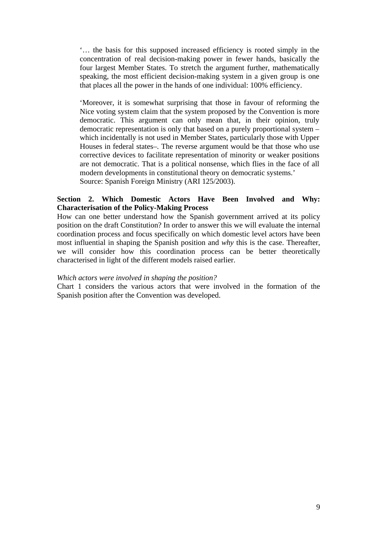'… the basis for this supposed increased efficiency is rooted simply in the concentration of real decision-making power in fewer hands, basically the four largest Member States. To stretch the argument further, mathematically speaking, the most efficient decision-making system in a given group is one that places all the power in the hands of one individual: 100% efficiency.

'Moreover, it is somewhat surprising that those in favour of reforming the Nice voting system claim that the system proposed by the Convention is more democratic. This argument can only mean that, in their opinion, truly democratic representation is only that based on a purely proportional system – which incidentally is not used in Member States, particularly those with Upper Houses in federal states–. The reverse argument would be that those who use corrective devices to facilitate representation of minority or weaker positions are not democratic. That is a political nonsense, which flies in the face of all modern developments in constitutional theory on democratic systems.' Source: Spanish Foreign Ministry (ARI 125/2003).

## **Section 2. Which Domestic Actors Have Been Involved and Why: Characterisation of the Policy-Making Process**

How can one better understand how the Spanish government arrived at its policy position on the draft Constitution? In order to answer this we will evaluate the internal coordination process and focus specifically on which domestic level actors have been most influential in shaping the Spanish position and *why* this is the case. Thereafter, we will consider how this coordination process can be better theoretically characterised in light of the different models raised earlier.

### *Which actors were involved in shaping the position?*

Chart 1 considers the various actors that were involved in the formation of the Spanish position after the Convention was developed.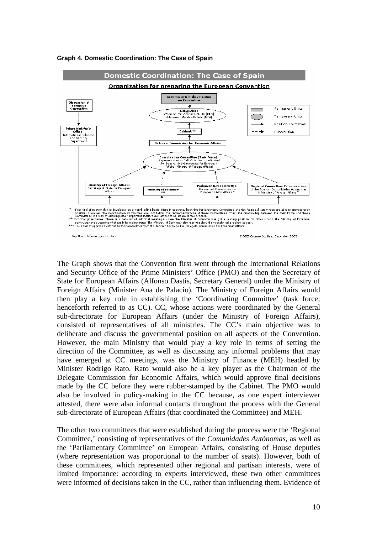

#### **Graph 4. Domestic Coordination: The Case of Spain**

The Graph shows that the Convention first went through the International Relations and Security Office of the Prime Ministers' Office (PMO) and then the Secretary of State for European Affairs (Alfonso Dastis, Secretary General) under the Ministry of Foreign Affairs (Minister Ana de Palacio). The Ministry of Foreign Affairs would then play a key role in establishing the 'Coordinating Committee' (task force; henceforth referred to as CC). CC, whose actions were coordinated by the General sub-directorate for European Affairs (under the Ministry of Foreign Affairs), consisted of representatives of all ministries. The CC's main objective was to deliberate and discuss the governmental position on all aspects of the Convention. However, the main Ministry that would play a key role in terms of setting the direction of the Committee, as well as discussing any informal problems that may have emerged at CC meetings, was the Ministry of Finance (MEH) headed by Minister Rodrigo Rato. Rato would also be a key player as the Chairman of the Delegate Commission for Economic Affairs, which would approve final decisions made by the CC before they were rubber-stamped by the Cabinet. The PMO would also be involved in policy-making in the CC because, as one expert interviewer attested, there were also informal contacts throughout the process with the General sub-directorate of European Affairs (that coordinated the Committee) and MEH.

The other two committees that were established during the process were the 'Regional Committee,' consisting of representatives of the *Comunidades Autónomas*, as well as the 'Parliamentary Committee' on European Affairs, consisting of House deputies (where representation was proportional to the number of seats). However, both of these committees, which represented other regional and partisan interests, were of limited importance: according to experts interviewed, these two other committees were informed of decisions taken in the CC, rather than influencing them. Evidence of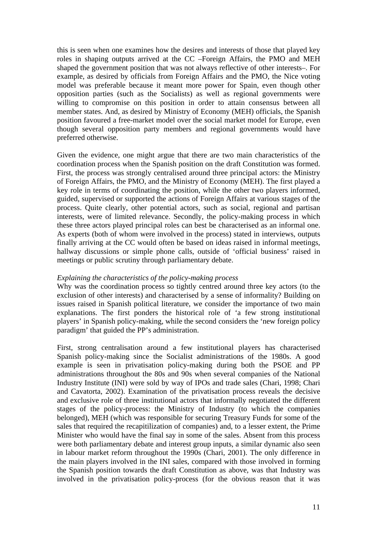this is seen when one examines how the desires and interests of those that played key roles in shaping outputs arrived at the CC –Foreign Affairs, the PMO and MEH shaped the government position that was not always reflective of other interests–. For example, as desired by officials from Foreign Affairs and the PMO, the Nice voting model was preferable because it meant more power for Spain, even though other opposition parties (such as the Socialists) as well as regional governments were willing to compromise on this position in order to attain consensus between all member states. And, as desired by Ministry of Economy (MEH) officials, the Spanish position favoured a free-market model over the social market model for Europe, even though several opposition party members and regional governments would have preferred otherwise.

Given the evidence, one might argue that there are two main characteristics of the coordination process when the Spanish position on the draft Constitution was formed. First, the process was strongly centralised around three principal actors: the Ministry of Foreign Affairs, the PMO, and the Ministry of Economy (MEH). The first played a key role in terms of coordinating the position, while the other two players informed, guided, supervised or supported the actions of Foreign Affairs at various stages of the process. Quite clearly, other potential actors, such as social, regional and partisan interests, were of limited relevance. Secondly, the policy-making process in which these three actors played principal roles can best be characterised as an informal one. As experts (both of whom were involved in the process) stated in interviews, outputs finally arriving at the CC would often be based on ideas raised in informal meetings, hallway discussions or simple phone calls, outside of 'official business' raised in meetings or public scrutiny through parliamentary debate.

## *Explaining the characteristics of the policy-making process*

Why was the coordination process so tightly centred around three key actors (to the exclusion of other interests) and characterised by a sense of informality? Building on issues raised in Spanish political literature, we consider the importance of two main explanations. The first ponders the historical role of 'a few strong institutional players' in Spanish policy-making, while the second considers the 'new foreign policy paradigm' that guided the PP's administration.

First, strong centralisation around a few institutional players has characterised Spanish policy-making since the Socialist administrations of the 1980s. A good example is seen in privatisation policy-making during both the PSOE and PP administrations throughout the 80s and 90s when several companies of the National Industry Institute (INI) were sold by way of IPOs and trade sales (Chari, 1998; Chari and Cavatorta, 2002). Examination of the privatisation process reveals the decisive and exclusive role of three institutional actors that informally negotiated the different stages of the policy-process: the Ministry of Industry (to which the companies belonged), MEH (which was responsible for securing Treasury Funds for some of the sales that required the recapitilization of companies) and, to a lesser extent, the Prime Minister who would have the final say in some of the sales. Absent from this process were both parliamentary debate and interest group inputs, a similar dynamic also seen in labour market reform throughout the 1990s (Chari, 2001). The only difference in the main players involved in the INI sales, compared with those involved in forming the Spanish position towards the draft Constitution as above, was that Industry was involved in the privatisation policy-process (for the obvious reason that it was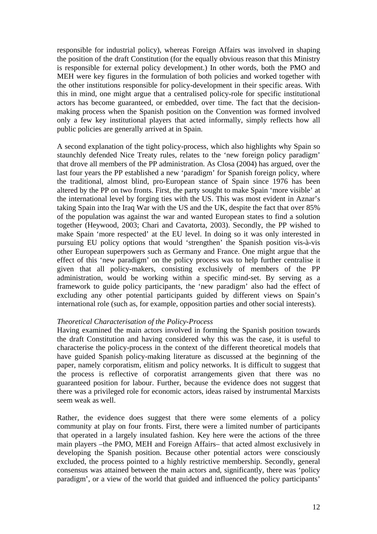responsible for industrial policy), whereas Foreign Affairs was involved in shaping the position of the draft Constitution (for the equally obvious reason that this Ministry is responsible for external policy development.) In other words, both the PMO and MEH were key figures in the formulation of both policies and worked together with the other institutions responsible for policy-development in their specific areas. With this in mind, one might argue that a centralised policy-role for specific institutional actors has become guaranteed, or embedded, over time. The fact that the decisionmaking process when the Spanish position on the Convention was formed involved only a few key institutional players that acted informally, simply reflects how all public policies are generally arrived at in Spain.

A second explanation of the tight policy-process, which also highlights why Spain so staunchly defended Nice Treaty rules, relates to the 'new foreign policy paradigm' that drove all members of the PP administration. As Closa (2004) has argued, over the last four years the PP established a new 'paradigm' for Spanish foreign policy, where the traditional, almost blind, pro-European stance of Spain since 1976 has been altered by the PP on two fronts. First, the party sought to make Spain 'more visible' at the international level by forging ties with the US. This was most evident in Aznar's taking Spain into the Iraq War with the US and the UK, despite the fact that over 85% of the population was against the war and wanted European states to find a solution together (Heywood, 2003; Chari and Cavatorta, 2003). Secondly, the PP wished to make Spain 'more respected' at the EU level. In doing so it was only interested in pursuing EU policy options that would 'strengthen' the Spanish position vis-à-vis other European superpowers such as Germany and France. One might argue that the effect of this 'new paradigm' on the policy process was to help further centralise it given that all policy-makers, consisting exclusively of members of the PP administration, would be working within a specific mind-set. By serving as a framework to guide policy participants, the 'new paradigm' also had the effect of excluding any other potential participants guided by different views on Spain's international role (such as, for example, opposition parties and other social interests).

## *Theoretical Characterisation of the Policy-Process*

Having examined the main actors involved in forming the Spanish position towards the draft Constitution and having considered why this was the case, it is useful to characterise the policy-process in the context of the different theoretical models that have guided Spanish policy-making literature as discussed at the beginning of the paper, namely corporatism, elitism and policy networks. It is difficult to suggest that the process is reflective of corporatist arrangements given that there was no guaranteed position for labour. Further, because the evidence does not suggest that there was a privileged role for economic actors, ideas raised by instrumental Marxists seem weak as well.

Rather, the evidence does suggest that there were some elements of a policy community at play on four fronts. First, there were a limited number of participants that operated in a largely insulated fashion. Key here were the actions of the three main players –the PMO, MEH and Foreign Affairs– that acted almost exclusively in developing the Spanish position. Because other potential actors were consciously excluded, the process pointed to a highly restrictive membership. Secondly, general consensus was attained between the main actors and, significantly, there was 'policy paradigm', or a view of the world that guided and influenced the policy participants'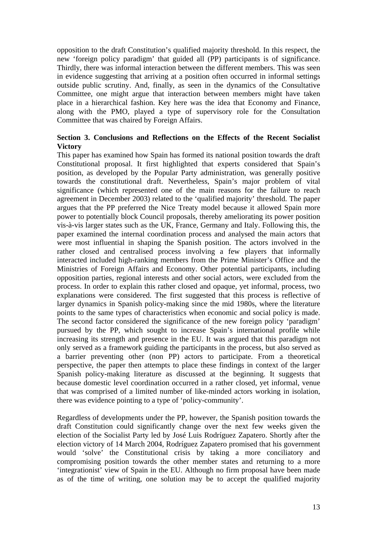opposition to the draft Constitution's qualified majority threshold. In this respect, the new 'foreign policy paradigm' that guided all (PP) participants is of significance. Thirdly, there was informal interaction between the different members. This was seen in evidence suggesting that arriving at a position often occurred in informal settings outside public scrutiny. And, finally, as seen in the dynamics of the Consultative Committee, one might argue that interaction between members might have taken place in a hierarchical fashion. Key here was the idea that Economy and Finance, along with the PMO, played a type of supervisory role for the Consultation Committee that was chaired by Foreign Affairs.

# **Section 3. Conclusions and Reflections on the Effects of the Recent Socialist Victory**

This paper has examined how Spain has formed its national position towards the draft Constitutional proposal. It first highlighted that experts considered that Spain's position, as developed by the Popular Party administration, was generally positive towards the constitutional draft. Nevertheless, Spain's major problem of vital significance (which represented one of the main reasons for the failure to reach agreement in December 2003) related to the 'qualified majority' threshold. The paper argues that the PP preferred the Nice Treaty model because it allowed Spain more power to potentially block Council proposals, thereby ameliorating its power position vis-à-vis larger states such as the UK, France, Germany and Italy. Following this, the paper examined the internal coordination process and analysed the main actors that were most influential in shaping the Spanish position. The actors involved in the rather closed and centralised process involving a few players that informally interacted included high-ranking members from the Prime Minister's Office and the Ministries of Foreign Affairs and Economy. Other potential participants, including opposition parties, regional interests and other social actors, were excluded from the process. In order to explain this rather closed and opaque, yet informal, process, two explanations were considered. The first suggested that this process is reflective of larger dynamics in Spanish policy-making since the mid 1980s, where the literature points to the same types of characteristics when economic and social policy is made. The second factor considered the significance of the new foreign policy 'paradigm' pursued by the PP, which sought to increase Spain's international profile while increasing its strength and presence in the EU. It was argued that this paradigm not only served as a framework guiding the participants in the process, but also served as a barrier preventing other (non PP) actors to participate. From a theoretical perspective, the paper then attempts to place these findings in context of the larger Spanish policy-making literature as discussed at the beginning. It suggests that because domestic level coordination occurred in a rather closed, yet informal, venue that was comprised of a limited number of like-minded actors working in isolation, there was evidence pointing to a type of 'policy-community'.

Regardless of developments under the PP, however, the Spanish position towards the draft Constitution could significantly change over the next few weeks given the election of the Socialist Party led by José Luis Rodríguez Zapatero. Shortly after the election victory of 14 March 2004, Rodríguez Zapatero promised that his government would 'solve' the Constitutional crisis by taking a more conciliatory and compromising position towards the other member states and returning to a more 'integrationist' view of Spain in the EU. Although no firm proposal have been made as of the time of writing, one solution may be to accept the qualified majority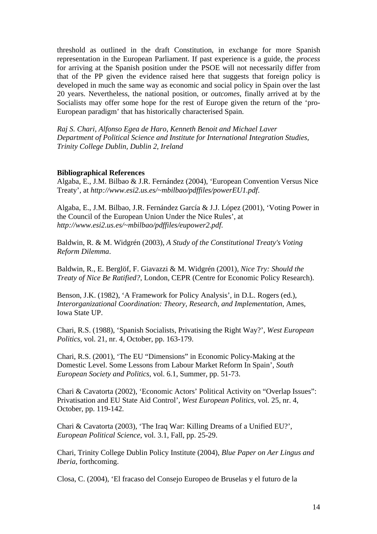threshold as outlined in the draft Constitution, in exchange for more Spanish representation in the European Parliament. If past experience is a guide, the *process* for arriving at the Spanish position under the PSOE will not necessarily differ from that of the PP given the evidence raised here that suggests that foreign policy is developed in much the same way as economic and social policy in Spain over the last 20 years. Nevertheless, the national position, or *outcomes*, finally arrived at by the Socialists may offer some hope for the rest of Europe given the return of the 'pro-European paradigm' that has historically characterised Spain.

*Raj S. Chari, Alfonso Egea de Haro, Kenneth Benoit and Michael Laver Department of Political Science and Institute for International Integration Studies, Trinity College Dublin, Dublin 2, Ireland* 

#### **Bibliographical References**

Algaba, E., J.M. Bilbao & J.R. Fernández (2004), 'European Convention Versus Nice Treaty', at *http://www.esi2.us.es/~mbilbao/pdffiles/powerEU1.pdf*.

Algaba, E., J.M. Bilbao, J.R. Fernández García & J.J. López (2001), 'Voting Power in the Council of the European Union Under the Nice Rules', at *http://www.esi2.us.es/~mbilbao/pdffiles/eupower2.pdf*.

Baldwin, R. & M. Widgrén (2003), *A Study of the Constitutional Treaty's Voting Reform Dilemma*.

Baldwin, R., E. Berglöf, F. Giavazzi & M. Widgrén (2001), *Nice Try: Should the Treaty of Nice Be Ratified?*, London, CEPR (Centre for Economic Policy Research).

Benson, J.K. (1982), 'A Framework for Policy Analysis', in D.L. Rogers (ed.), *Interorganizational Coordination: Theory, Research, and Implementation*, Ames, Iowa State UP.

Chari, R.S. (1988), 'Spanish Socialists, Privatising the Right Way?', *West European Politics*, vol. 21, nr. 4, October, pp. 163-179.

Chari, R.S. (2001), 'The EU "Dimensions" in Economic Policy-Making at the Domestic Level. Some Lessons from Labour Market Reform In Spain', *South European Society and Politics*, vol. 6.1, Summer, pp. 51-73.

Chari & Cavatorta (2002), 'Economic Actors' Political Activity on "Overlap Issues": Privatisation and EU State Aid Control', *West European Politics*, vol. 25, nr. 4, October, pp. 119-142.

Chari & Cavatorta (2003), 'The Iraq War: Killing Dreams of a Unified EU?', *European Political Science*, vol. 3.1, Fall, pp. 25-29.

Chari, Trinity College Dublin Policy Institute (2004), *Blue Paper on Aer Lingus and Iberia*, forthcoming.

Closa, C. (2004), 'El fracaso del Consejo Europeo de Bruselas y el futuro de la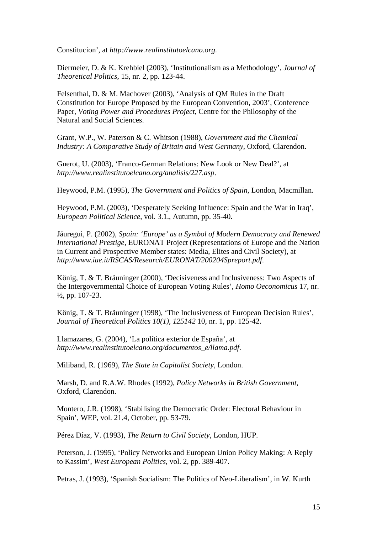Constitucion', at *http://www.realinstitutoelcano.org*.

Diermeier, D. & K. Krehbiel (2003), 'Institutionalism as a Methodology', *Journal of Theoretical Politics*, 15, nr. 2, pp. 123-44.

Felsenthal, D. & M. Machover (2003), 'Analysis of QM Rules in the Draft Constitution for Europe Proposed by the European Convention, 2003', Conference Paper, *Voting Power and Procedures Project*, Centre for the Philosophy of the Natural and Social Sciences.

Grant, W.P., W. Paterson & C. Whitson (1988), *Government and the Chemical Industry: A Comparative Study of Britain and West Germany*, Oxford, Clarendon.

Guerot, U. (2003), 'Franco-German Relations: New Look or New Deal?', at *http://www.realinstitutoelcano.org/analisis/227.asp*.

Heywood, P.M. (1995), *The Government and Politics of Spain*, London, Macmillan.

Heywood, P.M. (2003), 'Desperately Seeking Influence: Spain and the War in Iraq', *European Political Science*, vol. 3.1., Autumn, pp. 35-40.

Jáuregui, P. (2002), *Spain: 'Europe' as a Symbol of Modern Democracy and Renewed International Prestige*, EURONAT Project (Representations of Europe and the Nation in Current and Prospective Member states: Media, Elites and Civil Society), at *http://www.iue.it/RSCAS/Research/EURONAT/200204Spreport.pdf*.

König, T. & T. Bräuninger (2000), 'Decisiveness and Inclusiveness: Two Aspects of the Intergovernmental Choice of European Voting Rules', *Homo Oeconomicus* 17, nr.  $\frac{1}{2}$ , pp. 107-23.

König, T. & T. Bräuninger (1998), 'The Inclusiveness of European Decision Rules', *Journal of Theoretical Politics 10(1), 125142* 10, nr. 1, pp. 125-42.

Llamazares, G. (2004), 'La política exterior de España', at *http://www.realinstitutoelcano.org/documentos\_e/llama.pdf*.

Miliband, R. (1969), *The State in Capitalist Society*, London.

Marsh, D. and R.A.W. Rhodes (1992), *Policy Networks in British Government*, Oxford, Clarendon.

Montero, J.R. (1998), 'Stabilising the Democratic Order: Electoral Behaviour in Spain', WEP, vol. 21.4, October, pp. 53-79.

Pérez Díaz, V. (1993), *The Return to Civil Society*, London, HUP.

Peterson, J. (1995), 'Policy Networks and European Union Policy Making: A Reply to Kassim', *West European Politics*, vol. 2, pp. 389-407.

Petras, J. (1993), 'Spanish Socialism: The Politics of Neo-Liberalism', in W. Kurth